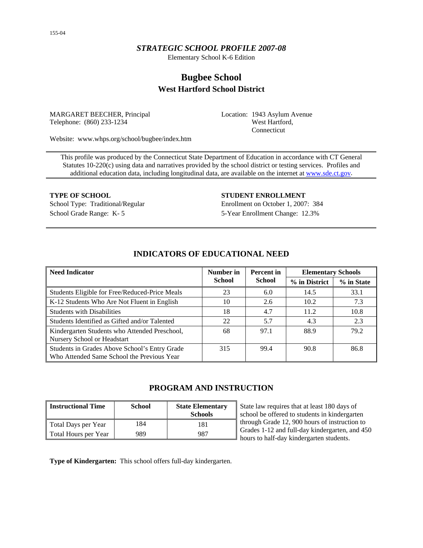# *STRATEGIC SCHOOL PROFILE 2007-08*

Elementary School K-6 Edition

# **Bugbee School West Hartford School District**

MARGARET BEECHER, Principal Telephone: (860) 233-1234

Location: 1943 Asylum Avenue West Hartford, Connecticut

Website: www.whps.org/school/bugbee/index.htm

This profile was produced by the Connecticut State Department of Education in accordance with CT General Statutes 10-220(c) using data and narratives provided by the school district or testing services. Profiles and additional education data, including longitudinal data, are available on the internet at [www.sde.ct.gov.](http://www.sde.ct.gov/)

**TYPE OF SCHOOL STUDENT ENROLLMENT** School Type: Traditional/Regular Enrollment on October 1, 2007: 384 School Grade Range: K- 5 5-Year Enrollment Change: 12.3%

| <b>Need Indicator</b>                                                                       | Number in     | Percent in    | <b>Elementary Schools</b> |            |
|---------------------------------------------------------------------------------------------|---------------|---------------|---------------------------|------------|
|                                                                                             | <b>School</b> | <b>School</b> | % in District             | % in State |
| Students Eligible for Free/Reduced-Price Meals                                              | 23            | 6.0           | 14.5                      | 33.1       |
| K-12 Students Who Are Not Fluent in English                                                 | 10            | 2.6           | 10.2                      | 7.3        |
| <b>Students with Disabilities</b>                                                           | 18            | 4.7           | 11.2                      | 10.8       |
| Students Identified as Gifted and/or Talented                                               | 22            | 5.7           | 4.3                       | 2.3        |
| Kindergarten Students who Attended Preschool,<br>Nursery School or Headstart                | 68            | 97.1          | 88.9                      | 79.2       |
| Students in Grades Above School's Entry Grade<br>Who Attended Same School the Previous Year | 315           | 99.4          | 90.8                      | 86.8       |

# **INDICATORS OF EDUCATIONAL NEED**

# **PROGRAM AND INSTRUCTION**

| <b>Instructional Time</b> | <b>School</b> | <b>State Elementary</b><br><b>Schools</b> |
|---------------------------|---------------|-------------------------------------------|
| Total Days per Year       | 184           | 181                                       |
| Total Hours per Year      | 989           | 987                                       |

State law requires that at least 180 days of school be offered to students in kindergarten through Grade 12, 900 hours of instruction to Grades 1-12 and full-day kindergarten, and 450 hours to half-day kindergarten students.

**Type of Kindergarten:** This school offers full-day kindergarten.

155-04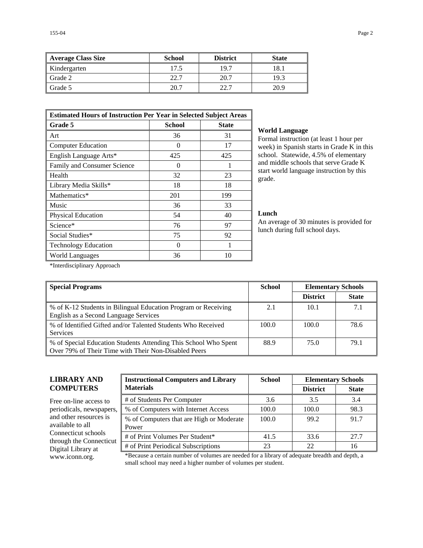| <b>Average Class Size</b> | <b>School</b> | <b>District</b> | <b>State</b> |
|---------------------------|---------------|-----------------|--------------|
| Kindergarten              | 17.5          | 19.7            | 18.1         |
| Grade 2                   | 22.7          | 20.7            | 19.3         |
| Grade 5                   | 20.7          | วว 7            | 20.9         |

| <b>Estimated Hours of Instruction Per Year in Selected Subject Areas</b> |               |              |  |  |  |
|--------------------------------------------------------------------------|---------------|--------------|--|--|--|
| <b>Grade 5</b>                                                           | <b>School</b> | <b>State</b> |  |  |  |
| Art                                                                      | 36            | 31           |  |  |  |
| <b>Computer Education</b>                                                | 0             | 17           |  |  |  |
| English Language Arts*                                                   | 425           | 425          |  |  |  |
| Family and Consumer Science                                              | 0             |              |  |  |  |
| Health                                                                   | 32            | 23           |  |  |  |
| Library Media Skills*                                                    | 18            | 18           |  |  |  |
| Mathematics*                                                             | 201           | 199          |  |  |  |
| Music                                                                    | 36            | 33           |  |  |  |
| Physical Education                                                       | 54            | 40           |  |  |  |
| Science*                                                                 | 76            | 97           |  |  |  |
| Social Studies*                                                          | 75            | 92           |  |  |  |
| <b>Technology Education</b>                                              | 0             |              |  |  |  |
| World Languages                                                          | 36            | 10           |  |  |  |

#### **World Language**

Formal instruction (at least 1 hour per week) in Spanish starts in Grade K in this school. Statewide, 4.5% of elementary and middle schools that serve Grade K start world language instruction by this grade.

### **Lunch**

An average of 30 minutes is provided for lunch during full school days.

\*Interdisciplinary Approach

| <b>Special Programs</b>                                                                                                 | <b>School</b> | <b>Elementary Schools</b> |              |
|-------------------------------------------------------------------------------------------------------------------------|---------------|---------------------------|--------------|
|                                                                                                                         |               | <b>District</b>           | <b>State</b> |
| % of K-12 Students in Bilingual Education Program or Receiving<br>English as a Second Language Services                 | 2.1           | 10.1                      | 7.1          |
| % of Identified Gifted and/or Talented Students Who Received<br><b>Services</b>                                         | 100.0         | 100.0                     | 78.6         |
| % of Special Education Students Attending This School Who Spent<br>Over 79% of Their Time with Their Non-Disabled Peers | 88.9          | 75.0                      | 79.1         |

# **LIBRARY AND COMPUTERS**

Free on-line access to periodicals, newspapers, and other resources is available to all Connecticut schools through the Connecticut Digital Library at

| <b>Instructional Computers and Library</b>        | <b>School</b> | <b>Elementary Schools</b> |              |  |
|---------------------------------------------------|---------------|---------------------------|--------------|--|
| <b>Materials</b>                                  |               | <b>District</b>           | <b>State</b> |  |
| # of Students Per Computer                        | 3.6           | 3.5                       | 3.4          |  |
| % of Computers with Internet Access               | 100.0         | 100.0                     | 98.3         |  |
| % of Computers that are High or Moderate<br>Power | 100.0         | 99.2                      | 91.7         |  |
| # of Print Volumes Per Student*                   | 41.5          | 33.6                      | 27.7         |  |
| # of Print Periodical Subscriptions               | 23            | 22                        | 16           |  |

www.iconn.org. \*Because a certain number of volumes are needed for a library of adequate breadth and depth, a small school may need a higher number of volumes per student.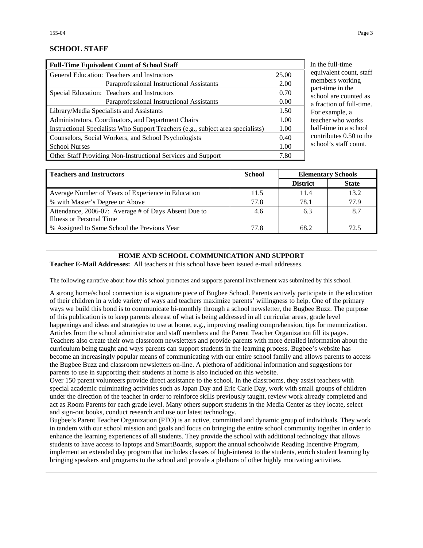## **SCHOOL STAFF**

| <b>Full-Time Equivalent Count of School Staff</b>                               |       |
|---------------------------------------------------------------------------------|-------|
| General Education: Teachers and Instructors                                     | 25.00 |
| Paraprofessional Instructional Assistants                                       | 2.00  |
| Special Education: Teachers and Instructors                                     | 0.70  |
| Paraprofessional Instructional Assistants                                       | 0.00  |
| Library/Media Specialists and Assistants                                        | 1.50  |
| Administrators, Coordinators, and Department Chairs                             | 1.00  |
| Instructional Specialists Who Support Teachers (e.g., subject area specialists) | 1.00  |
| Counselors, Social Workers, and School Psychologists                            | 0.40  |
| <b>School Nurses</b>                                                            | 1.00  |
| Other Staff Providing Non-Instructional Services and Support                    | 7.80  |

the full-time uivalent count, staff members working rt-time in the hool are counted as raction of full-time. r example, a cher who works lf-time in a school ntributes  $0.50$  to the nool's staff count.

| <b>Teachers and Instructors</b>                      | School | <b>Elementary Schools</b> |              |
|------------------------------------------------------|--------|---------------------------|--------------|
|                                                      |        | <b>District</b>           | <b>State</b> |
| Average Number of Years of Experience in Education   | 11.5   | 11.4                      | 13.2         |
| % with Master's Degree or Above                      | 77.8   | 78.1                      | 77.9         |
| Attendance, 2006-07: Average # of Days Absent Due to | 4.6    | 6.3                       | 8.7          |
| Illness or Personal Time                             |        |                           |              |
| % Assigned to Same School the Previous Year          | 77.8   | 68.2                      | 72.5         |

#### **HOME AND SCHOOL COMMUNICATION AND SUPPORT**

**Teacher E-Mail Addresses:** All teachers at this school have been issued e-mail addresses.

The following narrative about how this school promotes and supports parental involvement was submitted by this school.

A strong home/school connection is a signature piece of Bugbee School. Parents actively participate in the education of their children in a wide variety of ways and teachers maximize parents' willingness to help. One of the primary ways we build this bond is to communicate bi-monthly through a school newsletter, the Bugbee Buzz. The purpose of this publication is to keep parents abreast of what is being addressed in all curricular areas, grade level happenings and ideas and strategies to use at home, e.g., improving reading comprehension, tips for memorization. Articles from the school administrator and staff members and the Parent Teacher Organization fill its pages. Teachers also create their own classroom newsletters and provide parents with more detailed information about the curriculum being taught and ways parents can support students in the learning process. Bugbee's website has become an increasingly popular means of communicating with our entire school family and allows parents to access the Bugbee Buzz and classroom newsletters on-line. A plethora of additional information and suggestions for parents to use in supporting their students at home is also included on this website.

Over 150 parent volunteers provide direct assistance to the school. In the classrooms, they assist teachers with special academic culminating activities such as Japan Day and Eric Carle Day, work with small groups of children under the direction of the teacher in order to reinforce skills previously taught, review work already completed and act as Room Parents for each grade level. Many others support students in the Media Center as they locate, select and sign-out books, conduct research and use our latest technology.

Bugbee's Parent Teacher Organization (PTO) is an active, committed and dynamic group of individuals. They work in tandem with our school mission and goals and focus on bringing the entire school community together in order to enhance the learning experiences of all students. They provide the school with additional technology that allows students to have access to laptops and SmartBoards, support the annual schoolwide Reading Incentive Program, implement an extended day program that includes classes of high-interest to the students, enrich student learning by bringing speakers and programs to the school and provide a plethora of other highly motivating activities.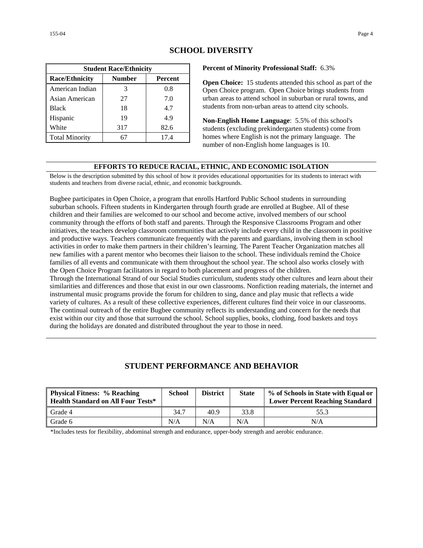| <b>Student Race/Ethnicity</b>              |     |      |  |  |  |  |
|--------------------------------------------|-----|------|--|--|--|--|
| <b>Race/Ethnicity</b><br>Number<br>Percent |     |      |  |  |  |  |
| American Indian                            | 3   | 0.8  |  |  |  |  |
| Asian American                             | 27  | 7.0  |  |  |  |  |
| <b>Black</b>                               | 18  | 4.7  |  |  |  |  |
| Hispanic                                   | 19  | 4.9  |  |  |  |  |
| White                                      | 317 | 82.6 |  |  |  |  |
| <b>Total Minority</b>                      |     | 17.4 |  |  |  |  |

# **SCHOOL DIVERSITY**

**Percent of Minority Professional Staff:** 6.3%

**Open Choice:** 15 students attended this school as part of the Open Choice program. Open Choice brings students from urban areas to attend school in suburban or rural towns, and students from non-urban areas to attend city schools.

**Non-English Home Language**: 5.5% of this school's students (excluding prekindergarten students) come from homes where English is not the primary language. The number of non-English home languages is 10.

#### **EFFORTS TO REDUCE RACIAL, ETHNIC, AND ECONOMIC ISOLATION**

Below is the description submitted by this school of how it provides educational opportunities for its students to interact with students and teachers from diverse racial, ethnic, and economic backgrounds.

Bugbee participates in Open Choice, a program that enrolls Hartford Public School students in surrounding suburban schools. Fifteen students in Kindergarten through fourth grade are enrolled at Bugbee. All of these children and their families are welcomed to our school and become active, involved members of our school community through the efforts of both staff and parents. Through the Responsive Classrooms Program and other initiatives, the teachers develop classroom communities that actively include every child in the classroom in positive and productive ways. Teachers communicate frequently with the parents and guardians, involving them in school activities in order to make them partners in their children's learning. The Parent Teacher Organization matches all new families with a parent mentor who becomes their liaison to the school. These individuals remind the Choice families of all events and communicate with them throughout the school year. The school also works closely with the Open Choice Program facilitators in regard to both placement and progress of the children.

Through the International Strand of our Social Studies curriculum, students study other cultures and learn about their similarities and differences and those that exist in our own classrooms. Nonfiction reading materials, the internet and instrumental music programs provide the forum for children to sing, dance and play music that reflects a wide variety of cultures. As a result of these collective experiences, different cultures find their voice in our classrooms. The continual outreach of the entire Bugbee community reflects its understanding and concern for the needs that exist within our city and those that surround the school. School supplies, books, clothing, food baskets and toys during the holidays are donated and distributed throughout the year to those in need.

# **STUDENT PERFORMANCE AND BEHAVIOR**

| <b>Physical Fitness: % Reaching</b><br><b>Health Standard on All Four Tests*</b> | <b>School</b> | <b>District</b> | <b>State</b> | % of Schools in State with Equal or<br><b>Lower Percent Reaching Standard</b> |
|----------------------------------------------------------------------------------|---------------|-----------------|--------------|-------------------------------------------------------------------------------|
| Grade 4                                                                          | 34.7          | 40.9            | 33.8         | 55.3                                                                          |
| Grade 6                                                                          | N/A           | N/A             | N/A          | N/A                                                                           |

\*Includes tests for flexibility, abdominal strength and endurance, upper-body strength and aerobic endurance.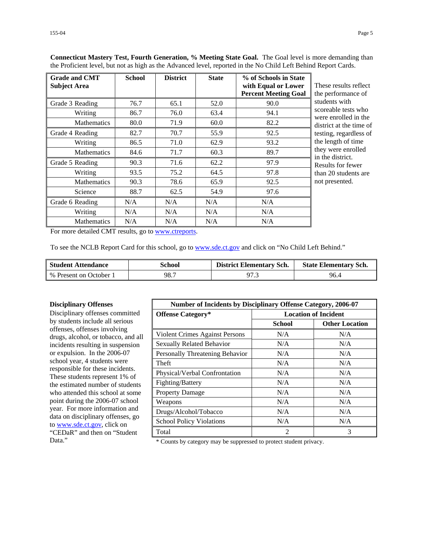| <b>Grade and CMT</b><br><b>Subject Area</b> | <b>School</b> | <b>District</b> | <b>State</b> | % of Schools in State<br>with Equal or Lower<br><b>Percent Meeting Goal</b> | These results reflect<br>the performance of |
|---------------------------------------------|---------------|-----------------|--------------|-----------------------------------------------------------------------------|---------------------------------------------|
| Grade 3 Reading                             | 76.7          | 65.1            | 52.0         | 90.0                                                                        | students with                               |
| Writing                                     | 86.7          | 76.0            | 63.4         | 94.1                                                                        | scoreable tests who<br>were enrolled in the |
| <b>Mathematics</b>                          | 80.0          | 71.9            | 60.0         | 82.2                                                                        | district at the time of                     |
| Grade 4 Reading                             | 82.7          | 70.7            | 55.9         | 92.5                                                                        | testing, regardless of                      |
| Writing                                     | 86.5          | 71.0            | 62.9         | 93.2                                                                        | the length of time                          |
| <b>Mathematics</b>                          | 84.6          | 71.7            | 60.3         | 89.7                                                                        | they were enrolled<br>in the district.      |
| Grade 5 Reading                             | 90.3          | 71.6            | 62.2         | 97.9                                                                        | Results for fewer                           |
| Writing                                     | 93.5          | 75.2            | 64.5         | 97.8                                                                        | than 20 students are                        |
| <b>Mathematics</b>                          | 90.3          | 78.6            | 65.9         | 92.5                                                                        | not presented.                              |
| Science                                     | 88.7          | 62.5            | 54.9         | 97.6                                                                        |                                             |
| Grade 6 Reading                             | N/A           | N/A             | N/A          | N/A                                                                         |                                             |
| Writing                                     | N/A           | N/A             | N/A          | N/A                                                                         |                                             |
| <b>Mathematics</b>                          | N/A           | N/A             | N/A          | N/A                                                                         |                                             |

**Connecticut Mastery Test, Fourth Generation, % Meeting State Goal.** The Goal level is more demanding than the Proficient level, but not as high as the Advanced level, reported in the No Child Left Behind Report Cards.

For more detailed CMT results, go to [www.ctreports.](http://www.ctreports/)

To see the NCLB Report Card for this school, go to [www.sde.ct.gov](http://www.sde.ct.gov/) and click on "No Child Left Behind."

| <b>Student Attendance</b> | School | <b>District Elementary Sch.</b> | <b>State Elementary Sch.</b> |
|---------------------------|--------|---------------------------------|------------------------------|
| % Present on October 1    | 98.7   | 97.3                            | 96.4                         |

#### **Disciplinary Offenses**

Disciplinary offenses committed by students include all serious offenses, offenses involving drugs, alcohol, or tobacco, and all incidents resulting in suspension or expulsion. In the 2006-07 school year, 4 students were responsible for these incidents. These students represent 1% of the estimated number of students who attended this school at some point during the 2006-07 school year. For more information and data on disciplinary offenses, go to [www.sde.ct.gov](http://www.sde.ct.gov/), click on "CEDaR" and then on "Student

| Number of Incidents by Disciplinary Offense Category, 2006-07 |                             |                       |
|---------------------------------------------------------------|-----------------------------|-----------------------|
| <b>Offense Category*</b>                                      | <b>Location of Incident</b> |                       |
|                                                               | <b>School</b>               | <b>Other Location</b> |
| Violent Crimes Against Persons                                | N/A                         | N/A                   |
| <b>Sexually Related Behavior</b>                              | N/A                         | N/A                   |
| Personally Threatening Behavior                               | N/A                         | N/A                   |
| Theft                                                         | N/A                         | N/A                   |
| Physical/Verbal Confrontation                                 | N/A                         | N/A                   |
| Fighting/Battery                                              | N/A                         | N/A                   |
| <b>Property Damage</b>                                        | N/A                         | N/A                   |
| Weapons                                                       | N/A                         | N/A                   |
| Drugs/Alcohol/Tobacco                                         | N/A                         | N/A                   |
| <b>School Policy Violations</b>                               | N/A                         | N/A                   |
| Total                                                         | 2                           | 3                     |

Data." \* Counts by category may be suppressed to protect student privacy.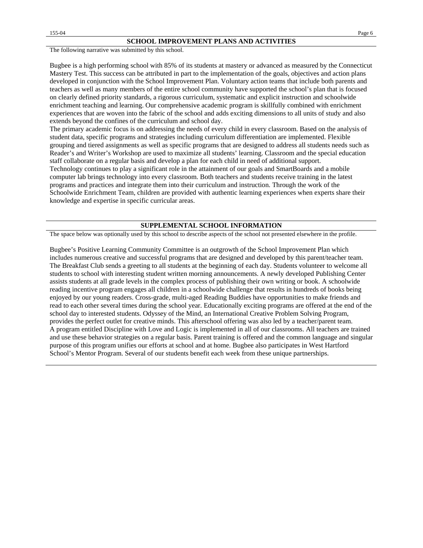The following narrative was submitted by this school.

Bugbee is a high performing school with 85% of its students at mastery or advanced as measured by the Connecticut Mastery Test. This success can be attributed in part to the implementation of the goals, objectives and action plans developed in conjunction with the School Improvement Plan. Voluntary action teams that include both parents and teachers as well as many members of the entire school community have supported the school's plan that is focused on clearly defined priority standards, a rigorous curriculum, systematic and explicit instruction and schoolwide enrichment teaching and learning. Our comprehensive academic program is skillfully combined with enrichment experiences that are woven into the fabric of the school and adds exciting dimensions to all units of study and also extends beyond the confines of the curriculum and school day.

The primary academic focus is on addressing the needs of every child in every classroom. Based on the analysis of student data, specific programs and strategies including curriculum differentiation are implemented. Flexible grouping and tiered assignments as well as specific programs that are designed to address all students needs such as Reader's and Writer's Workshop are used to maximize all students' learning. Classroom and the special education staff collaborate on a regular basis and develop a plan for each child in need of additional support. Technology continues to play a significant role in the attainment of our goals and SmartBoards and a mobile computer lab brings technology into every classroom. Both teachers and students receive training in the latest programs and practices and integrate them into their curriculum and instruction. Through the work of the Schoolwide Enrichment Team, children are provided with authentic learning experiences when experts share their knowledge and expertise in specific curricular areas.

#### **SUPPLEMENTAL SCHOOL INFORMATION**

The space below was optionally used by this school to describe aspects of the school not presented elsewhere in the profile.

Bugbee's Positive Learning Community Committee is an outgrowth of the School Improvement Plan which includes numerous creative and successful programs that are designed and developed by this parent/teacher team. The Breakfast Club sends a greeting to all students at the beginning of each day. Students volunteer to welcome all students to school with interesting student written morning announcements. A newly developed Publishing Center assists students at all grade levels in the complex process of publishing their own writing or book. A schoolwide reading incentive program engages all children in a schoolwide challenge that results in hundreds of books being enjoyed by our young readers. Cross-grade, multi-aged Reading Buddies have opportunities to make friends and read to each other several times during the school year. Educationally exciting programs are offered at the end of the school day to interested students. Odyssey of the Mind, an International Creative Problem Solving Program, provides the perfect outlet for creative minds. This afterschool offering was also led by a teacher/parent team. A program entitled Discipline with Love and Logic is implemented in all of our classrooms. All teachers are trained and use these behavior strategies on a regular basis. Parent training is offered and the common language and singular purpose of this program unifies our efforts at school and at home. Bugbee also participates in West Hartford School's Mentor Program. Several of our students benefit each week from these unique partnerships.